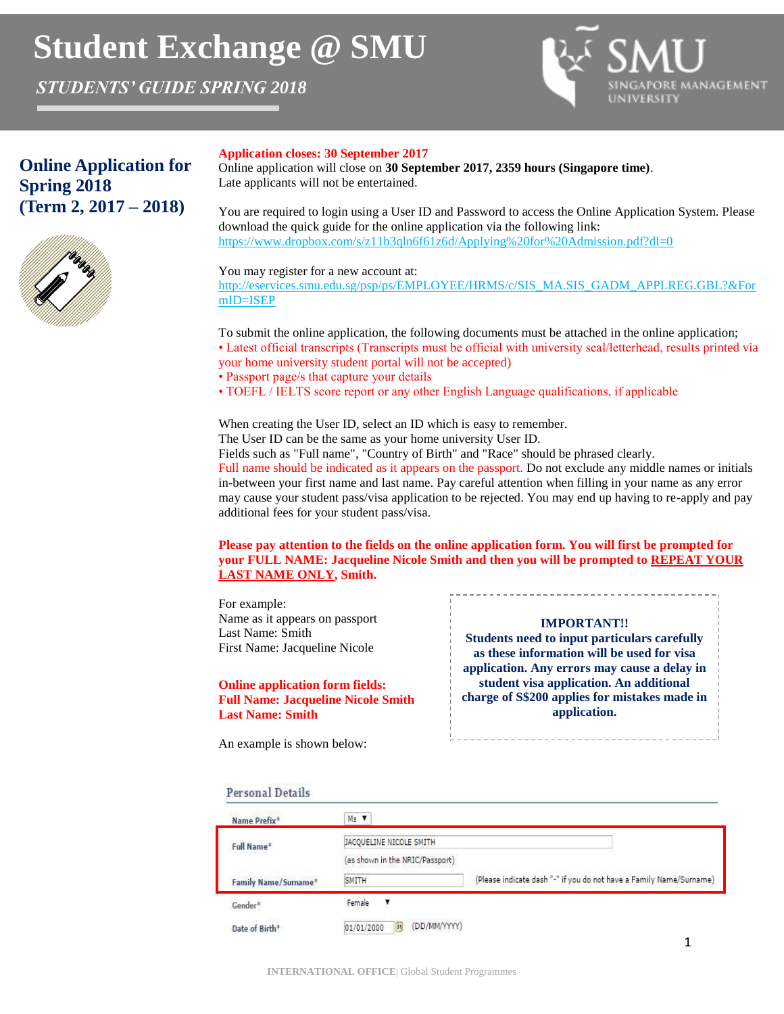# **Student Exchange @ SMU**

*STUDENTS' GUIDE SPRING 2018*



# **Online Application for Spring 2018 (Term 2, 2017 – 2018)**



#### **Application closes: 30 September 2017**

Online application will close on **30 September 2017, 2359 hours (Singapore time)**. Late applicants will not be entertained.

You are required to login using a User ID and Password to access the Online Application System. Please download the quick guide for the online application via the following link: https://www.dropbox.com/s/z11b3qln6f61z6d/Applying%20for%20Admission.pdf?dl=0

You may register for a new account at:

http://eservices.smu.edu.sg/psp/ps/EMPLOYEE/HRMS/c/SIS\_MA.SIS\_GADM\_APPLREG.GBL?&For mID=ISEP

To submit the online application, the following documents must be attached in the online application;

- Latest official transcripts (Transcripts must be official with university seal/letterhead, results printed via
- your home university student portal will not be accepted)
- Passport page/s that capture your details
- TOEFL / IELTS score report or any other English Language qualifications, if applicable

When creating the User ID, select an ID which is easy to remember.

The User ID can be the same as your home university User ID.

Fields such as "Full name", "Country of Birth" and "Race" should be phrased clearly.

Full name should be indicated as it appears on the passport. Do not exclude any middle names or initials in-between your first name and last name. Pay careful attention when filling in your name as any error may cause your student pass/visa application to be rejected. You may end up having to re-apply and pay additional fees for your student pass/visa.

**Please pay attention to the fields on the online application form. You will first be prompted for your FULL NAME: Jacqueline Nicole Smith and then you will be prompted to REPEAT YOUR LAST NAME ONLY, Smith.**

For example: Name as it appears on passport Last Name: Smith First Name: Jacqueline Nicole

## **Online application form fields: Full Name: Jacqueline Nicole Smith Last Name: Smith**

#### **IMPORTANT!!**

**Students need to input particulars carefully as these information will be used for visa application. Any errors may cause a delay in student visa application. An additional charge of S\$200 applies for mistakes made in application.** 

An example is shown below:

## **Personal Details**

| Name Prefix*         | Ms V                             |                                                                     |
|----------------------|----------------------------------|---------------------------------------------------------------------|
| Full Name*           | JACQUELINE NICOLE SMITH          |                                                                     |
|                      | (as shown in the NRIC/Passport)  |                                                                     |
| Family Name/Surname* | SMITH                            | (Please indicate dash "-" if you do not have a Family Name/Surname) |
| Gender*              | Female                           |                                                                     |
| Date of Birth*       | (DD/MM/YYYY)<br>01/01/2000<br>81 |                                                                     |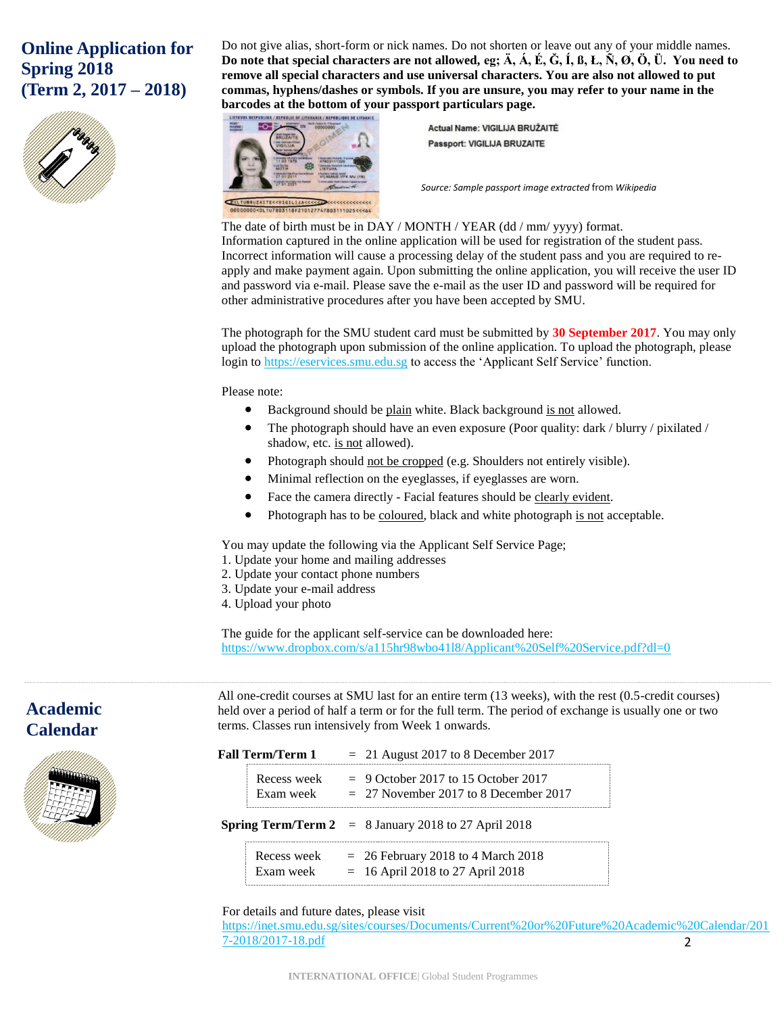# **Online Application for Spring 2018 (Term 2, 2017 – 2018)**



Do not give alias, short-form or nick names. Do not shorten or leave out any of your middle names. **Do note that special characters are not allowed, eg; Ä, Á, É, Ğ, Í, ß, Ł, Ñ, Ø, Ö, Ü. You need to remove all special characters and use universal characters. You are also not allowed to put commas, hyphens/dashes or symbols. If you are unsure, you may refer to your name in the barcodes at the bottom of your passport particulars page.**

NIA / REPUBLIQUE DE LITUANII



Actual Name: VIGILIJA BRUŽAITĖ **Passport: VIGILIJA BRUZAITE** 

*Source: Sample passport image extracted* from *Wikipedia*

## The date of birth must be in DAY / MONTH / YEAR (dd / mm/ yyyy) format.

Information captured in the online application will be used for registration of the student pass. Incorrect information will cause a processing delay of the student pass and you are required to reapply and make payment again. Upon submitting the online application, you will receive the user ID and password via e-mail. Please save the e-mail as the user ID and password will be required for other administrative procedures after you have been accepted by SMU.

The photograph for the SMU student card must be submitted by **30 September 2017**. You may only upload the photograph upon submission of the online application. To upload the photograph, please login to [https://eservices.smu.edu.sg](https://eservices.smu.edu.sg/) to access the 'Applicant Self Service' function.

Please note:

- Background should be plain white. Black background is not allowed.
- The photograph should have an even exposure (Poor quality: dark / blurry / pixilated / shadow, etc. is not allowed).
- Photograph should not be cropped (e.g. Shoulders not entirely visible).
- Minimal reflection on the eyeglasses, if eyeglasses are worn.
- Face the camera directly Facial features should be clearly evident.
- Photograph has to be coloured, black and white photograph is not acceptable.

You may update the following via the Applicant Self Service Page;

- 1. Update your home and mailing addresses
- 2. Update your contact phone numbers
- 3. Update your e-mail address
- 4. Upload your photo

The guide for the applicant self-service can be downloaded here: https://www.dropbox.com/s/a115hr98wbo41l8/Applicant%20Self%20Service.pdf?dl=0

# **Academic Calendar**



All one-credit courses at SMU last for an entire term (13 weeks), with the rest (0.5-credit courses) held over a period of half a term or for the full term. The period of exchange is usually one or two terms. Classes run intensively from Week 1 onwards.

| Fall Term/Term 1         | $= 21$ August 2017 to 8 December 2017                                            |
|--------------------------|----------------------------------------------------------------------------------|
| Recess week<br>Exam week | $= 9$ October 2017 to 15 October 2017<br>$= 27$ November 2017 to 8 December 2017 |
|                          | <b>Spring Term/Term 2</b> = $8$ January 2018 to 27 April 2018                    |
| Recess week<br>Exam week | $= 26$ February 2018 to 4 March 2018<br>$= 16$ April 2018 to 27 April 2018       |

For details and future dates, please visit

2 [https://inet.smu.edu.sg/sites/courses/Documents/Current%20or%20Future%20Academic%20Calendar/201](https://inet.smu.edu.sg/sites/courses/Documents/Current%20or%20Future%20Academic%20Calendar/2017-2018/2017-18.pdf) [7-2018/2017-18.pdf](https://inet.smu.edu.sg/sites/courses/Documents/Current%20or%20Future%20Academic%20Calendar/2017-2018/2017-18.pdf)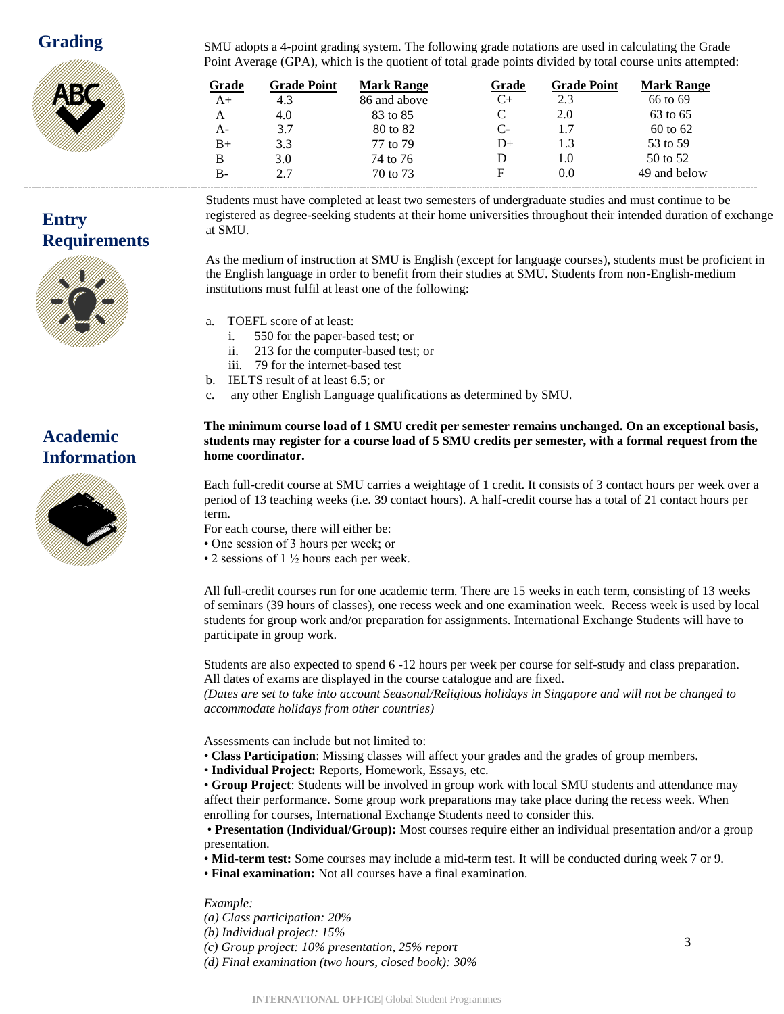

SMU adopts a 4-point grading system. The following grade notations are used in calculating the Grade Point Average (GPA), which is the quotient of total grade points divided by total course units attempted:

| Grade | <b>Grade Point</b> | <b>Mark Range</b> | Grade | <b>Grade Point</b> | <b>Mark Range</b> |  |
|-------|--------------------|-------------------|-------|--------------------|-------------------|--|
| A+    | 4.3                | 86 and above      | C+    | 2.3                | 66 to 69          |  |
| A     | 4.0                | 83 to 85          | C     | 2.0                | 63 to 65          |  |
| A-    | 3.7                | 80 to 82          | $C-$  | 1.7                | 60 to 62          |  |
| $B+$  | 3.3                | 77 to 79          | D+    | 1.3                | 53 to 59          |  |
| B     | 3.0                | 74 to 76          | D     | 1.0                | 50 to 52          |  |
| $B-$  | 2.7                | 70 to 73          | E     | 0.0                | 49 and below      |  |

**Entry Requirements** Students must have completed at least two semesters of undergraduate studies and must continue to be registered as degree-seeking students at their home universities throughout their intended duration of exchange at SMU.

As the medium of instruction at SMU is English (except for language courses), students must be proficient in the English language in order to benefit from their studies at SMU. Students from non-English-medium institutions must fulfil at least one of the following:

a. TOEFL score of at least:

**home coordinator.** 

- i. 550 for the paper-based test; or
- ii. 213 for the computer-based test; or
- iii. 79 for the internet-based test
- b. IELTS result of at least 6.5; or
- c. any other English Language qualifications as determined by SMU.

# **Academic Information**



Each full-credit course at SMU carries a weightage of 1 credit. It consists of 3 contact hours per week over a period of 13 teaching weeks (i.e. 39 contact hours). A half-credit course has a total of 21 contact hours per term.

**The minimum course load of 1 SMU credit per semester remains unchanged. On an exceptional basis, students may register for a course load of 5 SMU credits per semester, with a formal request from the** 

- For each course, there will either be:
- One session of 3 hours per week; or
- 2 sessions of  $1\frac{1}{2}$  hours each per week.

All full-credit courses run for one academic term. There are 15 weeks in each term, consisting of 13 weeks of seminars (39 hours of classes), one recess week and one examination week. Recess week is used by local students for group work and/or preparation for assignments. International Exchange Students will have to participate in group work.

Students are also expected to spend 6 -12 hours per week per course for self-study and class preparation. All dates of exams are displayed in the course catalogue and are fixed.

*(Dates are set to take into account Seasonal/Religious holidays in Singapore and will not be changed to accommodate holidays from other countries)* 

Assessments can include but not limited to:

- **Class Participation**: Missing classes will affect your grades and the grades of group members.
- **Individual Project:** Reports, Homework, Essays, etc.

• **Group Project**: Students will be involved in group work with local SMU students and attendance may affect their performance. Some group work preparations may take place during the recess week. When enrolling for courses, International Exchange Students need to consider this.

• **Presentation (Individual/Group):** Most courses require either an individual presentation and/or a group presentation.

• **Mid-term test:** Some courses may include a mid-term test. It will be conducted during week 7 or 9.

• **Final examination:** Not all courses have a final examination.

## *Example:*

*(a) Class participation: 20% (b) Individual project: 15% (c) Group project: 10% presentation, 25% report (d) Final examination (two hours, closed book): 30%*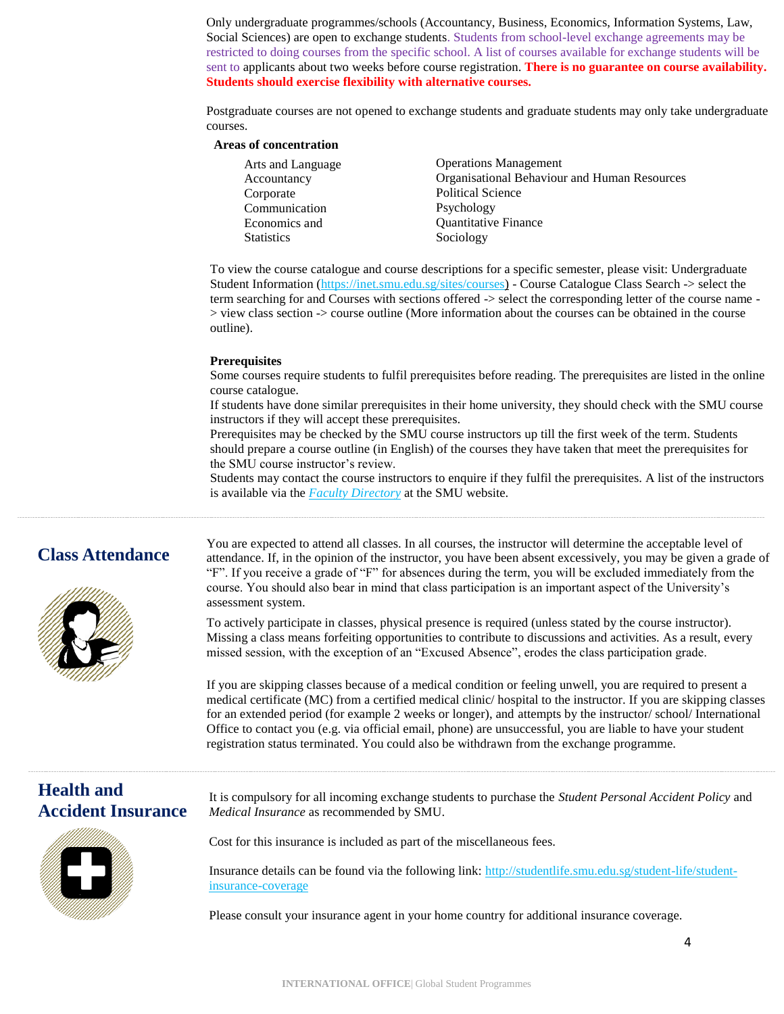Only undergraduate programmes/schools (Accountancy, Business, Economics, Information Systems, Law, Social Sciences) are open to exchange students. Students from school-level exchange agreements may be restricted to doing courses from the specific school. A list of courses available for exchange students will be sent to applicants about two weeks before course registration. **There is no guarantee on course availability. Students should exercise flexibility with alternative courses.**

Postgraduate courses are not opened to exchange students and graduate students may only take undergraduate courses.

#### **Areas of concentration**

| Arts and Language | <b>Operations Management</b>                 |
|-------------------|----------------------------------------------|
| Accountancy       | Organisational Behaviour and Human Resources |
| Corporate         | <b>Political Science</b>                     |
| Communication     | Psychology                                   |
| Economics and     | <b>Quantitative Finance</b>                  |
| <b>Statistics</b> | Sociology                                    |

To view the course catalogue and course descriptions for a specific semester, please visit: Undergraduate Student Information [\(https://inet.smu.edu.sg/sites/courses\)](https://inet.smu.edu.sg/sites/courses) - Course Catalogue Class Search -> select the • > view class section -> course outline (More information about the courses can be obtained in the course term searching for and Courses with sections offered -> select the corresponding letter of the course name outline).

#### **Prerequisites**

Some courses require students to fulfil prerequisites before reading. The prerequisites are listed in the online course catalogue.

If students have done similar prerequisites in their home university, they should check with the SMU course instructors if they will accept these prerequisites.

Prerequisites may be checked by the SMU course instructors up till the first week of the term. Students should prepare a course outline (in English) of the courses they have taken that meet the prerequisites for the SMU course instructor's review.

Students may contact the course instructors to enquire if they fulfil the prerequisites. A list of the instructors is available via the *[Faculty Directory](http://www.smu.edu.sg/faculty/main)* at the SMU website.

# **Class Attendance**



You are expected to attend all classes. In all courses, the instructor will determine the acceptable level of attendance. If, in the opinion of the instructor, you have been absent excessively, you may be given a grade of "F". If you receive a grade of "F" for absences during the term, you will be excluded immediately from the course. You should also bear in mind that class participation is an important aspect of the University's assessment system.

To actively participate in classes, physical presence is required (unless stated by the course instructor). Missing a class means forfeiting opportunities to contribute to discussions and activities. As a result, every missed session, with the exception of an "Excused Absence", erodes the class participation grade.

If you are skipping classes because of a medical condition or feeling unwell, you are required to present a medical certificate (MC) from a certified medical clinic/ hospital to the instructor. If you are skipping classes for an extended period (for example 2 weeks or longer), and attempts by the instructor/ school/ International Office to contact you (e.g. via official email, phone) are unsuccessful, you are liable to have your student registration status terminated. You could also be withdrawn from the exchange programme.

# **Health and Accident Insurance**



It is compulsory for all incoming exchange students to purchase the *Student Personal Accident Policy* and *Medical Insurance* as recommended by SMU.

Cost for this insurance is included as part of the miscellaneous fees.

Insurance details can be found via the following link: [http://studentlife.smu.edu.sg/student-life/student](http://studentlife.smu.edu.sg/student-life/student-insurance-coverage)[insurance-coverage](http://studentlife.smu.edu.sg/student-life/student-insurance-coverage)

Please consult your insurance agent in your home country for additional insurance coverage.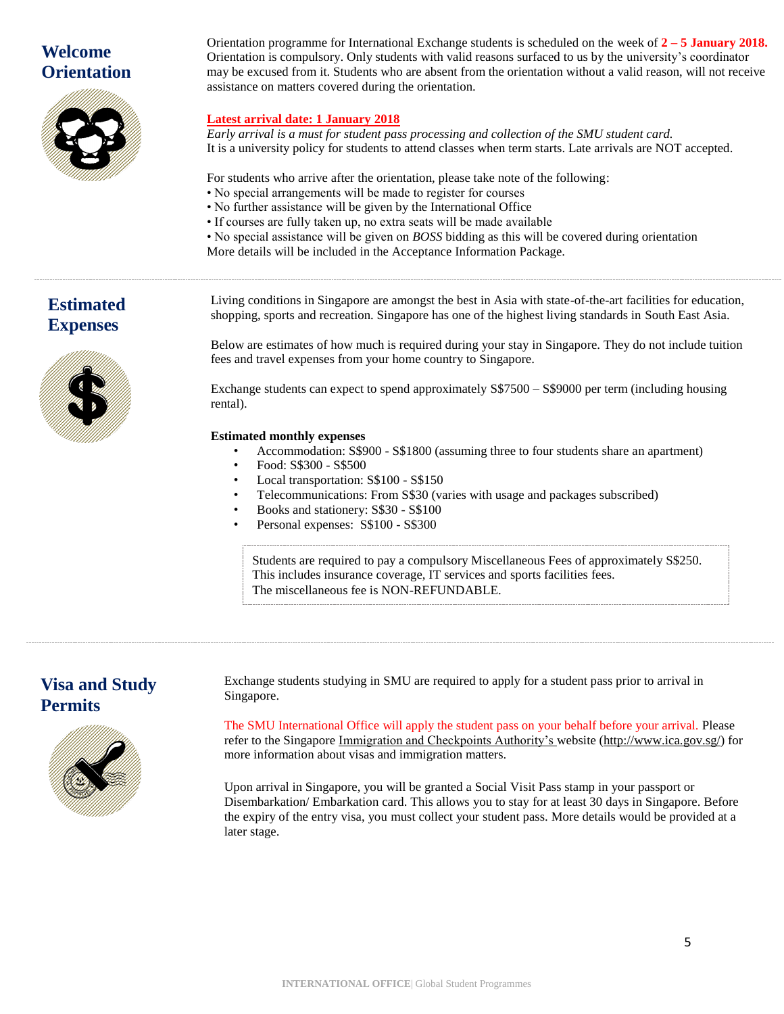# **Welcome Orientation**



Orientation programme for International Exchange students is scheduled on the week of **2 – 5 January 2018.** Orientation is compulsory. Only students with valid reasons surfaced to us by the university's coordinator may be excused from it. Students who are absent from the orientation without a valid reason, will not receive assistance on matters covered during the orientation.

# **Latest arrival date: 1 January 2018**

*Early arrival is a must for student pass processing and collection of the SMU student card.* It is a university policy for students to attend classes when term starts. Late arrivals are NOT accepted.

For students who arrive after the orientation, please take note of the following:

- No special arrangements will be made to register for courses
- No further assistance will be given by the International Office
- If courses are fully taken up, no extra seats will be made available
- No special assistance will be given on *BOSS* bidding as this will be covered during orientation
- More details will be included in the Acceptance Information Package.

# **Estimated Expenses**



Living conditions in Singapore are amongst the best in Asia with state-of-the-art facilities for education, shopping, sports and recreation. Singapore has one of the highest living standards in South East Asia.

Below are estimates of how much is required during your stay in Singapore. They do not include tuition fees and travel expenses from your home country to Singapore.

Exchange students can expect to spend approximately S\$7500 – S\$9000 per term (including housing rental).

## **Estimated monthly expenses**

- Accommodation: S\$900 S\$1800 (assuming three to four students share an apartment)
- Food: S\$300 S\$500
- Local transportation: S\$100 S\$150
- Telecommunications: From S\$30 (varies with usage and packages subscribed)
- Books and stationery: S\$30 S\$100
- Personal expenses: S\$100 S\$300

Students are required to pay a compulsory Miscellaneous Fees of approximately S\$250. This includes insurance coverage, IT services and sports facilities fees. The miscellaneous fee is NON-REFUNDABLE.

# **Visa and Study Permits**



Exchange students studying in SMU are required to apply for a student pass prior to arrival in Singapore.

The SMU International Office will apply the student pass on your behalf before your arrival. Please refer to the Singapore [Immigration and Checkpoints Authority's w](http://www.ica.gov.sg/)ebsite [\(http://www.ica.gov.sg/\)](http://www.ica.gov.sg/) for more information about visas and immigration matters.

Upon arrival in Singapore, you will be granted a Social Visit Pass stamp in your passport or Disembarkation/ Embarkation card. This allows you to stay for at least 30 days in Singapore. Before the expiry of the entry visa, you must collect your student pass. More details would be provided at a later stage.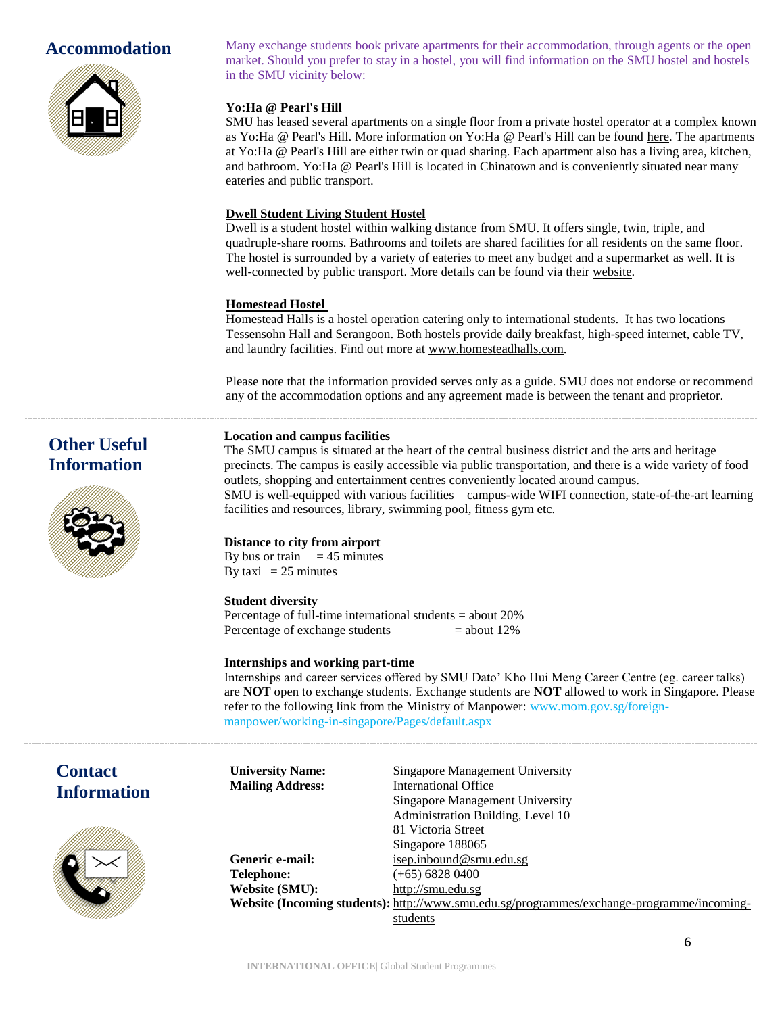# **Accommodation**



**Other Useful Information**

Many exchange students book private apartments for their accommodation, through agents or the open market. Should you prefer to stay in a hostel, you will find information on the SMU hostel and hostels in the SMU vicinity below:

## **Yo:Ha @ Pearl's Hill**

SMU has leased several apartments on a single floor from a private hostel operator at a complex known as Yo:Ha @ Pearl's Hill. More information on Yo:Ha @ Pearl's Hill can be found [here.](https://www.smu.edu.sg/campus-information/accommodation-at-evan-hostel) The apartments at Yo:Ha @ Pearl's Hill are either twin or quad sharing. Each apartment also has a living area, kitchen, and bathroom. Yo:Ha @ Pearl's Hill is located in Chinatown and is conveniently situated near many eateries and public transport.

## **Dwell Student Living Student Hostel**

Dwell is a student hostel within walking distance from SMU. It offers single, twin, triple, and quadruple-share rooms. Bathrooms and toilets are shared facilities for all residents on the same floor. The hostel is surrounded by a variety of eateries to meet any budget and a supermarket as well. It is well-connected by public transport. More details can be found via their [website.](http://www.dwellstudent.com.sg/en/)

## **Homestead Hostel**

Homestead Halls is a hostel operation catering only to international students. It has two locations – Tessensohn Hall and Serangoon. Both hostels provide daily breakfast, high-speed internet, cable TV, and laundry facilities. Find out more a[t www.homesteadhalls.com.](http://www.homesteadhalls.com/)

Please note that the information provided serves only as a guide. SMU does not endorse or recommend any of the accommodation options and any agreement made is between the tenant and proprietor.

## **Location and campus facilities**

The SMU campus is situated at the heart of the central business district and the arts and heritage precincts. The campus is easily accessible via public transportation, and there is a wide variety of food outlets, shopping and entertainment centres conveniently located around campus. SMU is well-equipped with various facilities – campus-wide WIFI connection, state-of-the-art learning facilities and resources, library, swimming pool, fitness gym etc.

## **Distance to city from airport**

By bus or train  $= 45$  minutes By taxi =  $25$  minutes

## **Student diversity**

Percentage of full-time international students = about 20% Percentage of exchange students  $=$  about 12%

**University Name:** Singapore Management University

**Mailing Address:** International Office

## **Internships and working part-time**

Internships and career services offered by SMU Dato' Kho Hui Meng Career Centre (eg. career talks) are **NOT** open to exchange students. Exchange students are **NOT** allowed to work in Singapore. Please refer to the following link from the Ministry of Manpower: [www.mom.gov.sg/foreign](http://www.mom.gov.sg/foreign-manpower/working-in-singapore/Pages/default.aspx)[manpower/working-in-singapore/Pages/default.aspx](http://www.mom.gov.sg/foreign-manpower/working-in-singapore/Pages/default.aspx)

# **Contact Information**



|                 | Singapore Management University                                                            |
|-----------------|--------------------------------------------------------------------------------------------|
|                 | Administration Building, Level 10                                                          |
|                 | 81 Victoria Street                                                                         |
|                 | Singapore 188065                                                                           |
| Generic e-mail: | isep.inbound@smu.edu.sg                                                                    |
| Telephone:      | (+65) 6828 0400                                                                            |
| Website (SMU):  | http://smu.edu.sg                                                                          |
|                 | Website (Incoming students): http://www.smu.edu.sg/programmes/exchange-programme/incoming- |
|                 | students                                                                                   |
|                 |                                                                                            |